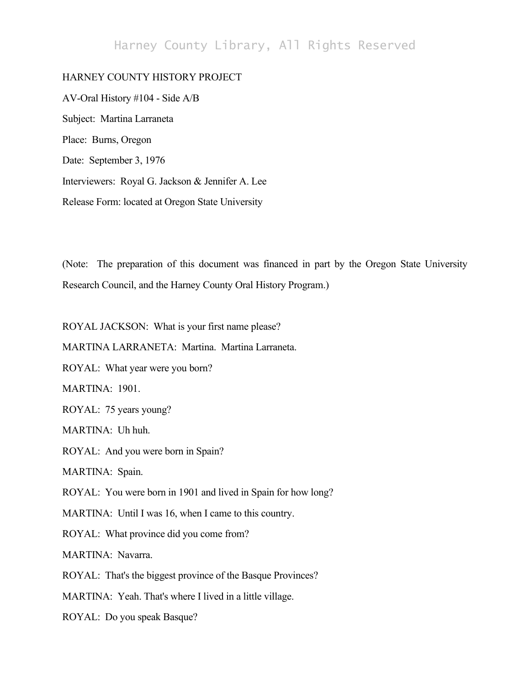# Harney County Library, All Rights Reserved

## HARNEY COUNTY HISTORY PROJECT

AV-Oral History #104 - Side A/B Subject: Martina Larraneta Place: Burns, Oregon Date: September 3, 1976 Interviewers: Royal G. Jackson & Jennifer A. Lee Release Form: located at Oregon State University

(Note: The preparation of this document was financed in part by the Oregon State University Research Council, and the Harney County Oral History Program.)

ROYAL JACKSON: What is your first name please?

MARTINA LARRANETA: Martina. Martina Larraneta.

ROYAL: What year were you born?

MARTINA: 1901.

ROYAL: 75 years young?

MARTINA: Uh huh.

ROYAL: And you were born in Spain?

MARTINA: Spain.

ROYAL: You were born in 1901 and lived in Spain for how long?

MARTINA: Until I was 16, when I came to this country.

ROYAL: What province did you come from?

MARTINA: Navarra.

ROYAL: That's the biggest province of the Basque Provinces?

MARTINA: Yeah. That's where I lived in a little village.

ROYAL: Do you speak Basque?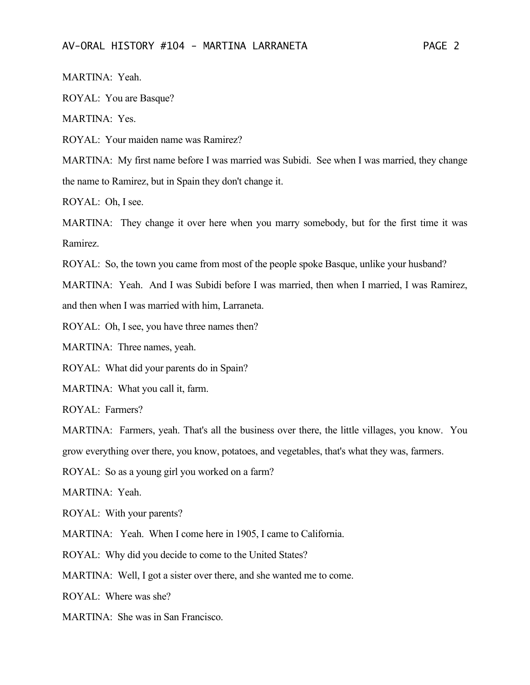MARTINA: Yeah.

ROYAL: You are Basque?

MARTINA: Yes.

ROYAL: Your maiden name was Ramirez?

MARTINA: My first name before I was married was Subidi. See when I was married, they change the name to Ramirez, but in Spain they don't change it.

ROYAL: Oh, I see.

MARTINA: They change it over here when you marry somebody, but for the first time it was Ramirez.

ROYAL: So, the town you came from most of the people spoke Basque, unlike your husband?

MARTINA: Yeah. And I was Subidi before I was married, then when I married, I was Ramirez, and then when I was married with him, Larraneta.

ROYAL: Oh, I see, you have three names then?

MARTINA: Three names, yeah.

ROYAL: What did your parents do in Spain?

MARTINA: What you call it, farm.

ROYAL: Farmers?

MARTINA: Farmers, yeah. That's all the business over there, the little villages, you know. You grow everything over there, you know, potatoes, and vegetables, that's what they was, farmers.

ROYAL: So as a young girl you worked on a farm?

MARTINA: Yeah.

ROYAL: With your parents?

MARTINA: Yeah. When I come here in 1905, I came to California.

ROYAL: Why did you decide to come to the United States?

MARTINA: Well, I got a sister over there, and she wanted me to come.

ROYAL: Where was she?

MARTINA: She was in San Francisco.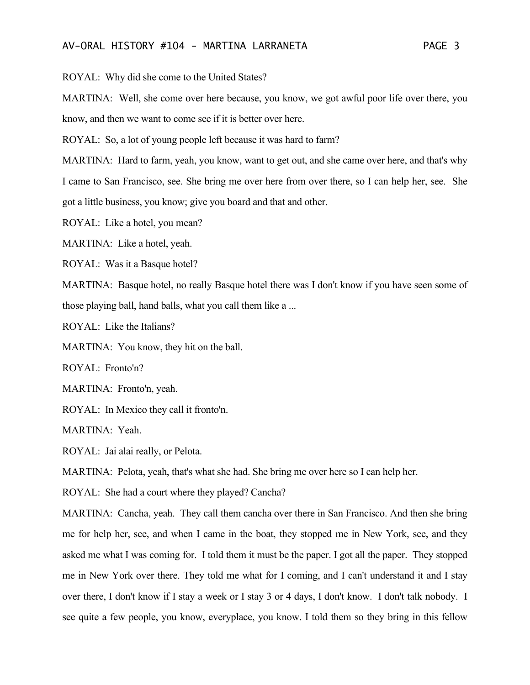#### AV-ORAL HISTORY #104 - MARTINA LARRANETA PAGE 3

ROYAL: Why did she come to the United States?

MARTINA: Well, she come over here because, you know, we got awful poor life over there, you know, and then we want to come see if it is better over here.

ROYAL: So, a lot of young people left because it was hard to farm?

MARTINA: Hard to farm, yeah, you know, want to get out, and she came over here, and that's why I came to San Francisco, see. She bring me over here from over there, so I can help her, see. She got a little business, you know; give you board and that and other.

ROYAL: Like a hotel, you mean?

MARTINA: Like a hotel, yeah.

ROYAL: Was it a Basque hotel?

MARTINA: Basque hotel, no really Basque hotel there was I don't know if you have seen some of those playing ball, hand balls, what you call them like a ...

ROYAL: Like the Italians?

MARTINA: You know, they hit on the ball.

ROYAL: Fronto'n?

MARTINA: Fronto'n, yeah.

ROYAL: In Mexico they call it fronto'n.

MARTINA: Yeah.

ROYAL: Jai alai really, or Pelota.

MARTINA: Pelota, yeah, that's what she had. She bring me over here so I can help her.

ROYAL: She had a court where they played? Cancha?

MARTINA: Cancha, yeah. They call them cancha over there in San Francisco. And then she bring me for help her, see, and when I came in the boat, they stopped me in New York, see, and they asked me what I was coming for. I told them it must be the paper. I got all the paper. They stopped me in New York over there. They told me what for I coming, and I can't understand it and I stay over there, I don't know if I stay a week or I stay 3 or 4 days, I don't know. I don't talk nobody. I see quite a few people, you know, everyplace, you know. I told them so they bring in this fellow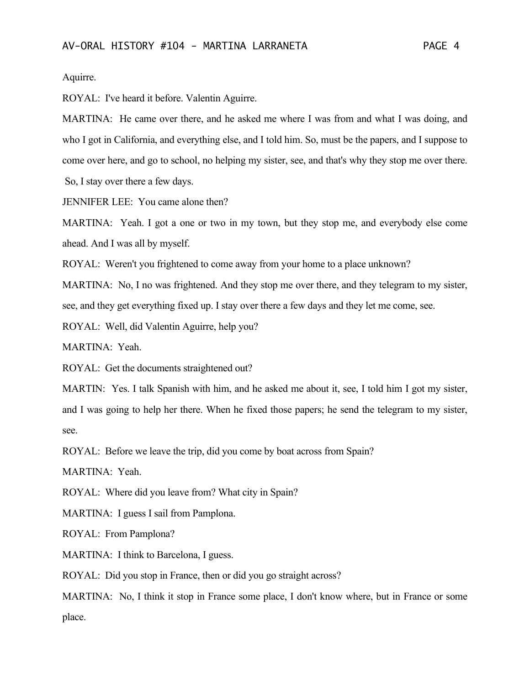Aquirre.

ROYAL: I've heard it before. Valentin Aguirre.

MARTINA: He came over there, and he asked me where I was from and what I was doing, and who I got in California, and everything else, and I told him. So, must be the papers, and I suppose to come over here, and go to school, no helping my sister, see, and that's why they stop me over there. So, I stay over there a few days.

JENNIFER LEE: You came alone then?

MARTINA: Yeah. I got a one or two in my town, but they stop me, and everybody else come ahead. And I was all by myself.

ROYAL: Weren't you frightened to come away from your home to a place unknown?

MARTINA: No, I no was frightened. And they stop me over there, and they telegram to my sister, see, and they get everything fixed up. I stay over there a few days and they let me come, see.

ROYAL: Well, did Valentin Aguirre, help you?

MARTINA: Yeah.

ROYAL: Get the documents straightened out?

MARTIN: Yes. I talk Spanish with him, and he asked me about it, see, I told him I got my sister, and I was going to help her there. When he fixed those papers; he send the telegram to my sister, see.

ROYAL: Before we leave the trip, did you come by boat across from Spain?

MARTINA: Yeah.

ROYAL: Where did you leave from? What city in Spain?

MARTINA: I guess I sail from Pamplona.

ROYAL: From Pamplona?

MARTINA: I think to Barcelona, I guess.

ROYAL: Did you stop in France, then or did you go straight across?

MARTINA: No, I think it stop in France some place, I don't know where, but in France or some place.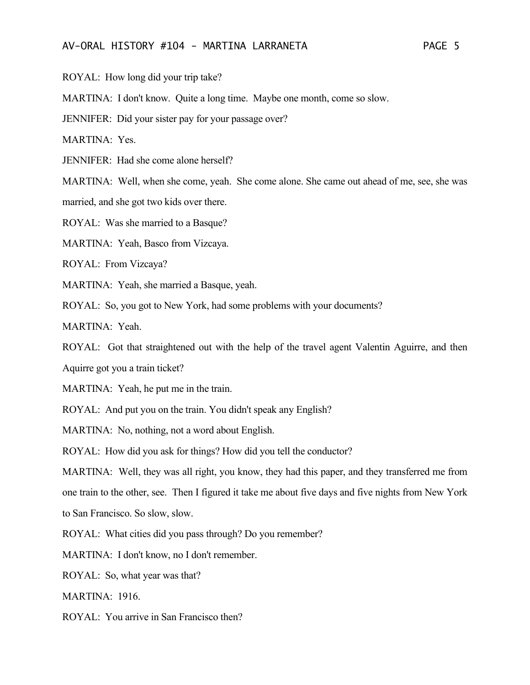#### AV-ORAL HISTORY #104 - MARTINA LARRANETA PAGE 5

ROYAL: How long did your trip take?

MARTINA: I don't know. Quite a long time. Maybe one month, come so slow.

JENNIFER: Did your sister pay for your passage over?

MARTINA: Yes.

JENNIFER: Had she come alone herself?

MARTINA: Well, when she come, yeah. She come alone. She came out ahead of me, see, she was

married, and she got two kids over there.

ROYAL: Was she married to a Basque?

MARTINA: Yeah, Basco from Vizcaya.

ROYAL: From Vizcaya?

MARTINA: Yeah, she married a Basque, yeah.

ROYAL: So, you got to New York, had some problems with your documents?

MARTINA: Yeah.

ROYAL: Got that straightened out with the help of the travel agent Valentin Aguirre, and then Aquirre got you a train ticket?

MARTINA: Yeah, he put me in the train.

ROYAL: And put you on the train. You didn't speak any English?

MARTINA: No, nothing, not a word about English.

ROYAL: How did you ask for things? How did you tell the conductor?

MARTINA: Well, they was all right, you know, they had this paper, and they transferred me from one train to the other, see. Then I figured it take me about five days and five nights from New York to San Francisco. So slow, slow.

ROYAL: What cities did you pass through? Do you remember?

MARTINA: I don't know, no I don't remember.

ROYAL: So, what year was that?

MARTINA: 1916.

ROYAL: You arrive in San Francisco then?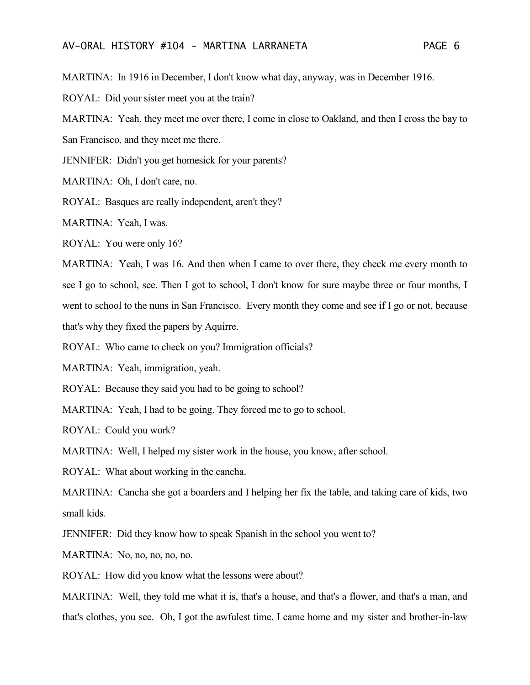MARTINA: In 1916 in December, I don't know what day, anyway, was in December 1916.

ROYAL: Did your sister meet you at the train?

MARTINA: Yeah, they meet me over there, I come in close to Oakland, and then I cross the bay to San Francisco, and they meet me there.

JENNIFER: Didn't you get homesick for your parents?

MARTINA: Oh, I don't care, no.

ROYAL: Basques are really independent, aren't they?

MARTINA: Yeah, I was.

ROYAL: You were only 16?

MARTINA: Yeah, I was 16. And then when I came to over there, they check me every month to see I go to school, see. Then I got to school, I don't know for sure maybe three or four months, I went to school to the nuns in San Francisco. Every month they come and see if I go or not, because that's why they fixed the papers by Aquirre.

ROYAL: Who came to check on you? Immigration officials?

MARTINA: Yeah, immigration, yeah.

ROYAL: Because they said you had to be going to school?

MARTINA: Yeah, I had to be going. They forced me to go to school.

ROYAL: Could you work?

MARTINA: Well, I helped my sister work in the house, you know, after school.

ROYAL: What about working in the cancha.

MARTINA: Cancha she got a boarders and I helping her fix the table, and taking care of kids, two small kids.

JENNIFER: Did they know how to speak Spanish in the school you went to?

MARTINA: No, no, no, no, no.

ROYAL: How did you know what the lessons were about?

MARTINA: Well, they told me what it is, that's a house, and that's a flower, and that's a man, and that's clothes, you see. Oh, I got the awfulest time. I came home and my sister and brother-in-law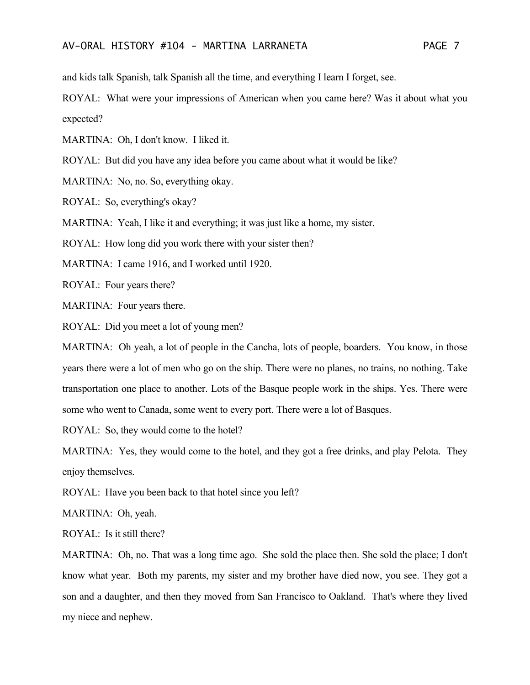and kids talk Spanish, talk Spanish all the time, and everything I learn I forget, see.

ROYAL: What were your impressions of American when you came here? Was it about what you expected?

MARTINA: Oh, I don't know. I liked it.

ROYAL: But did you have any idea before you came about what it would be like?

MARTINA: No, no. So, everything okay.

ROYAL: So, everything's okay?

MARTINA: Yeah, I like it and everything; it was just like a home, my sister.

ROYAL: How long did you work there with your sister then?

MARTINA: I came 1916, and I worked until 1920.

ROYAL: Four years there?

MARTINA: Four years there.

ROYAL: Did you meet a lot of young men?

MARTINA: Oh yeah, a lot of people in the Cancha, lots of people, boarders. You know, in those years there were a lot of men who go on the ship. There were no planes, no trains, no nothing. Take transportation one place to another. Lots of the Basque people work in the ships. Yes. There were some who went to Canada, some went to every port. There were a lot of Basques.

ROYAL: So, they would come to the hotel?

MARTINA: Yes, they would come to the hotel, and they got a free drinks, and play Pelota. They enjoy themselves.

ROYAL: Have you been back to that hotel since you left?

MARTINA: Oh, yeah.

ROYAL: Is it still there?

MARTINA: Oh, no. That was a long time ago. She sold the place then. She sold the place; I don't know what year. Both my parents, my sister and my brother have died now, you see. They got a son and a daughter, and then they moved from San Francisco to Oakland. That's where they lived my niece and nephew.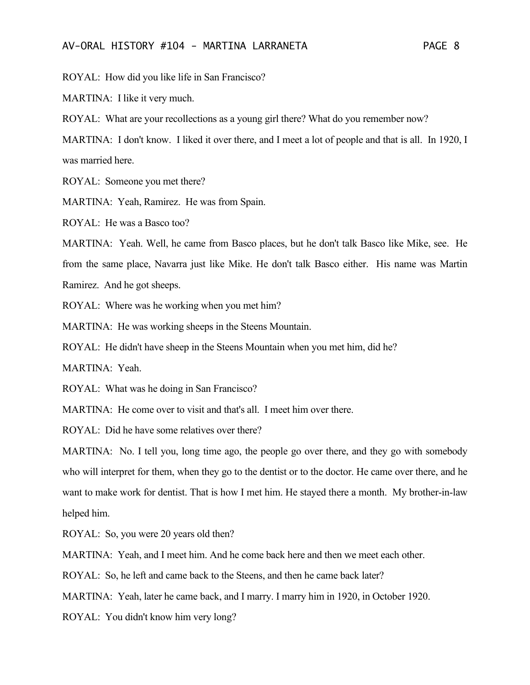ROYAL: How did you like life in San Francisco?

MARTINA: I like it very much.

ROYAL: What are your recollections as a young girl there? What do you remember now?

MARTINA: I don't know. I liked it over there, and I meet a lot of people and that is all. In 1920, I was married here.

ROYAL: Someone you met there?

MARTINA: Yeah, Ramirez. He was from Spain.

ROYAL: He was a Basco too?

MARTINA: Yeah. Well, he came from Basco places, but he don't talk Basco like Mike, see. He from the same place, Navarra just like Mike. He don't talk Basco either. His name was Martin Ramirez. And he got sheeps.

ROYAL: Where was he working when you met him?

MARTINA: He was working sheeps in the Steens Mountain.

ROYAL: He didn't have sheep in the Steens Mountain when you met him, did he?

MARTINA: Yeah.

ROYAL: What was he doing in San Francisco?

MARTINA: He come over to visit and that's all. I meet him over there.

ROYAL: Did he have some relatives over there?

MARTINA: No. I tell you, long time ago, the people go over there, and they go with somebody who will interpret for them, when they go to the dentist or to the doctor. He came over there, and he want to make work for dentist. That is how I met him. He stayed there a month. My brother-in-law helped him.

ROYAL: So, you were 20 years old then?

MARTINA: Yeah, and I meet him. And he come back here and then we meet each other.

ROYAL: So, he left and came back to the Steens, and then he came back later?

MARTINA: Yeah, later he came back, and I marry. I marry him in 1920, in October 1920.

ROYAL: You didn't know him very long?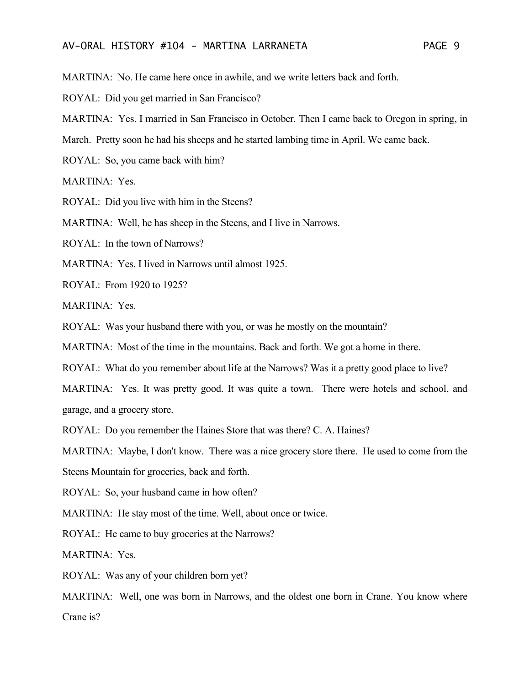MARTINA: No. He came here once in awhile, and we write letters back and forth.

ROYAL: Did you get married in San Francisco?

MARTINA: Yes. I married in San Francisco in October. Then I came back to Oregon in spring, in

March. Pretty soon he had his sheeps and he started lambing time in April. We came back.

ROYAL: So, you came back with him?

MARTINA: Yes.

ROYAL: Did you live with him in the Steens?

MARTINA: Well, he has sheep in the Steens, and I live in Narrows.

ROYAL: In the town of Narrows?

MARTINA: Yes. I lived in Narrows until almost 1925.

ROYAL: From 1920 to 1925?

MARTINA: Yes.

ROYAL: Was your husband there with you, or was he mostly on the mountain?

MARTINA: Most of the time in the mountains. Back and forth. We got a home in there.

ROYAL: What do you remember about life at the Narrows? Was it a pretty good place to live?

MARTINA: Yes. It was pretty good. It was quite a town. There were hotels and school, and garage, and a grocery store.

ROYAL: Do you remember the Haines Store that was there? C. A. Haines?

MARTINA: Maybe, I don't know. There was a nice grocery store there. He used to come from the

Steens Mountain for groceries, back and forth.

ROYAL: So, your husband came in how often?

MARTINA: He stay most of the time. Well, about once or twice.

ROYAL: He came to buy groceries at the Narrows?

MARTINA: Yes.

ROYAL: Was any of your children born yet?

MARTINA: Well, one was born in Narrows, and the oldest one born in Crane. You know where Crane is?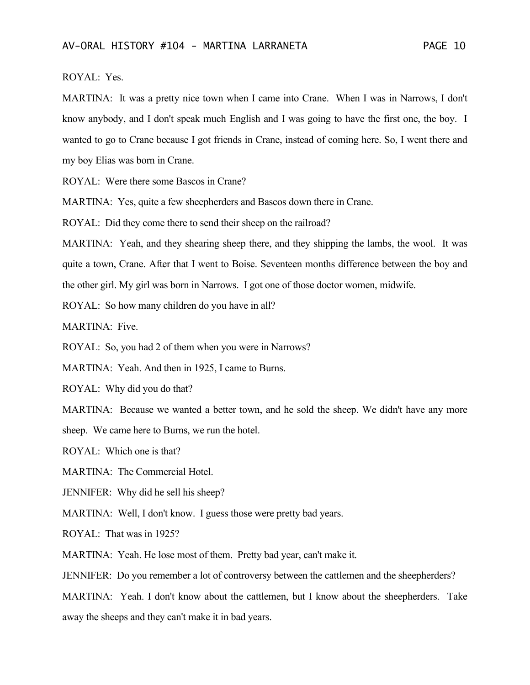## ROYAL: Yes.

MARTINA: It was a pretty nice town when I came into Crane. When I was in Narrows, I don't know anybody, and I don't speak much English and I was going to have the first one, the boy. I wanted to go to Crane because I got friends in Crane, instead of coming here. So, I went there and my boy Elias was born in Crane.

ROYAL: Were there some Bascos in Crane?

MARTINA: Yes, quite a few sheepherders and Bascos down there in Crane.

ROYAL: Did they come there to send their sheep on the railroad?

MARTINA: Yeah, and they shearing sheep there, and they shipping the lambs, the wool. It was quite a town, Crane. After that I went to Boise. Seventeen months difference between the boy and the other girl. My girl was born in Narrows. I got one of those doctor women, midwife.

ROYAL: So how many children do you have in all?

MARTINA: Five.

ROYAL: So, you had 2 of them when you were in Narrows?

MARTINA: Yeah. And then in 1925, I came to Burns.

ROYAL: Why did you do that?

MARTINA: Because we wanted a better town, and he sold the sheep. We didn't have any more

sheep. We came here to Burns, we run the hotel.

ROYAL: Which one is that?

MARTINA: The Commercial Hotel.

JENNIFER: Why did he sell his sheep?

MARTINA: Well, I don't know. I guess those were pretty bad years.

ROYAL: That was in 1925?

MARTINA: Yeah. He lose most of them. Pretty bad year, can't make it.

JENNIFER: Do you remember a lot of controversy between the cattlemen and the sheepherders?

MARTINA: Yeah. I don't know about the cattlemen, but I know about the sheepherders. Take

away the sheeps and they can't make it in bad years.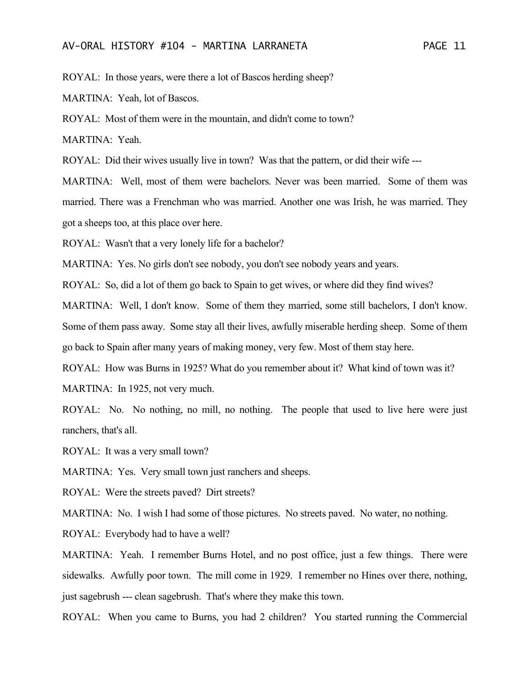ROYAL: In those years, were there a lot of Bascos herding sheep?

MARTINA: Yeah, lot of Bascos.

ROYAL: Most of them were in the mountain, and didn't come to town?

MARTINA: Yeah.

ROYAL: Did their wives usually live in town? Was that the pattern, or did their wife ---

MARTINA: Well, most of them were bachelors. Never was been married. Some of them was married. There was a Frenchman who was married. Another one was Irish, he was married. They got a sheeps too, at this place over here.

ROYAL: Wasn't that a very lonely life for a bachelor?

MARTINA: Yes. No girls don't see nobody, you don't see nobody years and years.

ROYAL: So, did a lot of them go back to Spain to get wives, or where did they find wives?

MARTINA: Well, I don't know. Some of them they married, some still bachelors, I don't know. Some of them pass away. Some stay all their lives, awfully miserable herding sheep. Some of them go back to Spain after many years of making money, very few. Most of them stay here.

ROYAL: How was Burns in 1925? What do you remember about it? What kind of town was it?

MARTINA: In 1925, not very much.

ROYAL: No. No nothing, no mill, no nothing. The people that used to live here were just ranchers, that's all.

ROYAL: It was a very small town?

MARTINA: Yes. Very small town just ranchers and sheeps.

ROYAL: Were the streets paved? Dirt streets?

MARTINA: No. I wish I had some of those pictures. No streets paved. No water, no nothing.

ROYAL: Everybody had to have a well?

MARTINA: Yeah. I remember Burns Hotel, and no post office, just a few things. There were sidewalks. Awfully poor town. The mill come in 1929. I remember no Hines over there, nothing, just sagebrush --- clean sagebrush. That's where they make this town.

ROYAL: When you came to Burns, you had 2 children? You started running the Commercial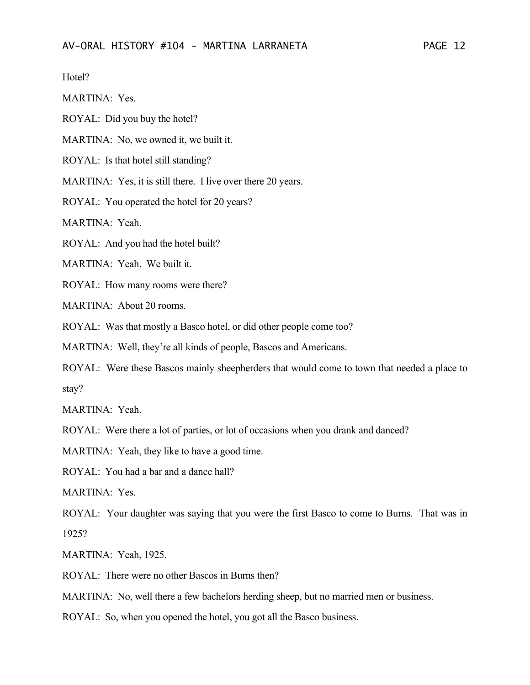Hotel?

MARTINA: Yes.

ROYAL: Did you buy the hotel?

MARTINA: No, we owned it, we built it.

ROYAL: Is that hotel still standing?

MARTINA: Yes, it is still there. I live over there 20 years.

ROYAL: You operated the hotel for 20 years?

MARTINA: Yeah.

ROYAL: And you had the hotel built?

MARTINA: Yeah. We built it.

ROYAL: How many rooms were there?

MARTINA: About 20 rooms.

ROYAL: Was that mostly a Basco hotel, or did other people come too?

MARTINA: Well, they're all kinds of people, Bascos and Americans.

ROYAL: Were these Bascos mainly sheepherders that would come to town that needed a place to stay?

MARTINA: Yeah.

ROYAL: Were there a lot of parties, or lot of occasions when you drank and danced?

MARTINA: Yeah, they like to have a good time.

ROYAL: You had a bar and a dance hall?

MARTINA: Yes.

ROYAL: Your daughter was saying that you were the first Basco to come to Burns. That was in 1925?

MARTINA: Yeah, 1925.

ROYAL: There were no other Bascos in Burns then?

MARTINA: No, well there a few bachelors herding sheep, but no married men or business.

ROYAL: So, when you opened the hotel, you got all the Basco business.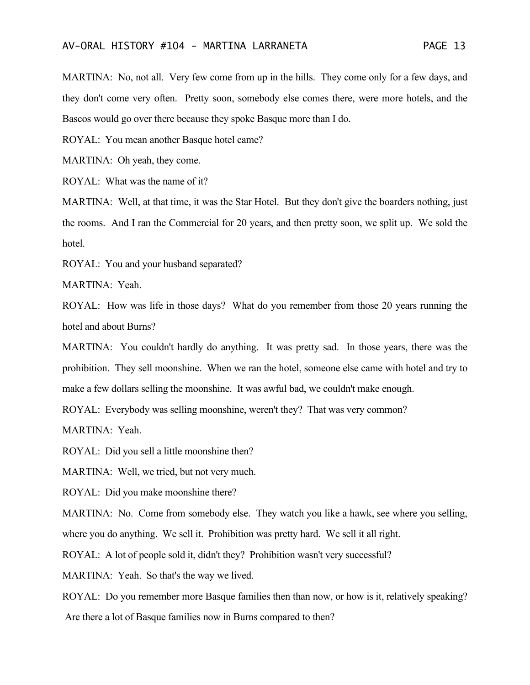MARTINA: No, not all. Very few come from up in the hills. They come only for a few days, and they don't come very often. Pretty soon, somebody else comes there, were more hotels, and the Bascos would go over there because they spoke Basque more than I do.

ROYAL: You mean another Basque hotel came?

MARTINA: Oh yeah, they come.

ROYAL: What was the name of it?

MARTINA: Well, at that time, it was the Star Hotel. But they don't give the boarders nothing, just the rooms. And I ran the Commercial for 20 years, and then pretty soon, we split up. We sold the hotel.

ROYAL: You and your husband separated?

MARTINA: Yeah.

ROYAL: How was life in those days? What do you remember from those 20 years running the hotel and about Burns?

MARTINA: You couldn't hardly do anything. It was pretty sad. In those years, there was the prohibition. They sell moonshine. When we ran the hotel, someone else came with hotel and try to make a few dollars selling the moonshine. It was awful bad, we couldn't make enough.

ROYAL: Everybody was selling moonshine, weren't they? That was very common?

MARTINA: Yeah.

ROYAL: Did you sell a little moonshine then?

MARTINA: Well, we tried, but not very much.

ROYAL: Did you make moonshine there?

MARTINA: No. Come from somebody else. They watch you like a hawk, see where you selling, where you do anything. We sell it. Prohibition was pretty hard. We sell it all right.

ROYAL: A lot of people sold it, didn't they? Prohibition wasn't very successful?

MARTINA: Yeah. So that's the way we lived.

ROYAL: Do you remember more Basque families then than now, or how is it, relatively speaking? Are there a lot of Basque families now in Burns compared to then?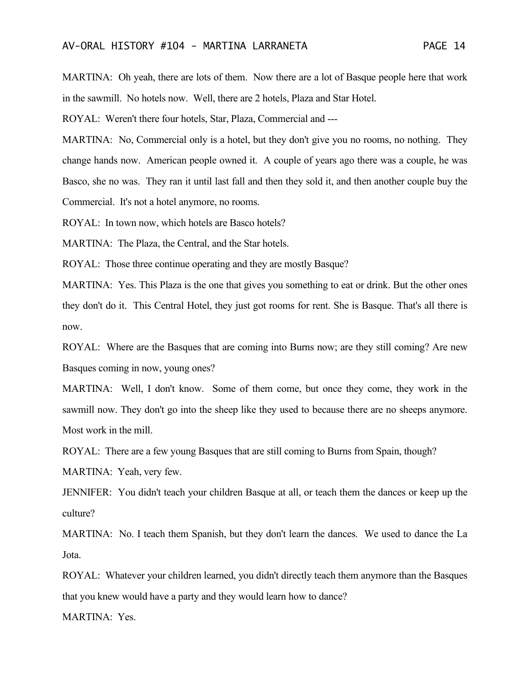MARTINA: Oh yeah, there are lots of them. Now there are a lot of Basque people here that work in the sawmill. No hotels now. Well, there are 2 hotels, Plaza and Star Hotel.

ROYAL: Weren't there four hotels, Star, Plaza, Commercial and ---

MARTINA: No, Commercial only is a hotel, but they don't give you no rooms, no nothing. They change hands now. American people owned it. A couple of years ago there was a couple, he was Basco, she no was. They ran it until last fall and then they sold it, and then another couple buy the Commercial. It's not a hotel anymore, no rooms.

ROYAL: In town now, which hotels are Basco hotels?

MARTINA: The Plaza, the Central, and the Star hotels.

ROYAL: Those three continue operating and they are mostly Basque?

MARTINA: Yes. This Plaza is the one that gives you something to eat or drink. But the other ones they don't do it. This Central Hotel, they just got rooms for rent. She is Basque. That's all there is now.

ROYAL: Where are the Basques that are coming into Burns now; are they still coming? Are new Basques coming in now, young ones?

MARTINA: Well, I don't know. Some of them come, but once they come, they work in the sawmill now. They don't go into the sheep like they used to because there are no sheeps anymore. Most work in the mill.

ROYAL: There are a few young Basques that are still coming to Burns from Spain, though?

MARTINA: Yeah, very few.

JENNIFER: You didn't teach your children Basque at all, or teach them the dances or keep up the culture?

MARTINA: No. I teach them Spanish, but they don't learn the dances. We used to dance the La Jota.

ROYAL: Whatever your children learned, you didn't directly teach them anymore than the Basques that you knew would have a party and they would learn how to dance?

MARTINA: Yes.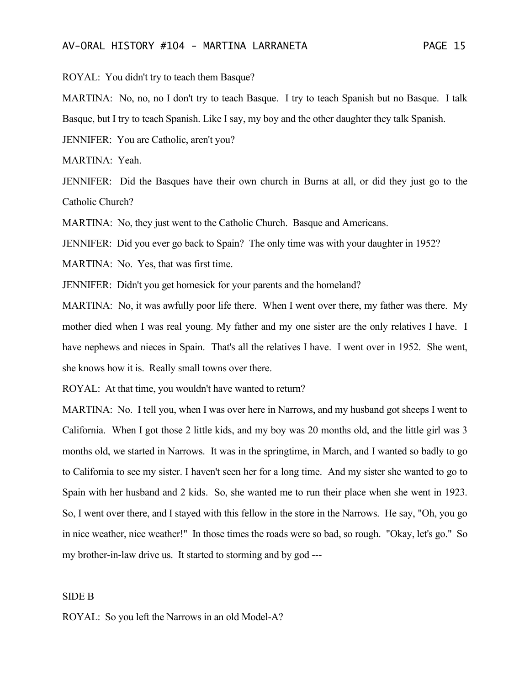ROYAL: You didn't try to teach them Basque?

MARTINA: No, no, no I don't try to teach Basque. I try to teach Spanish but no Basque. I talk Basque, but I try to teach Spanish. Like I say, my boy and the other daughter they talk Spanish.

JENNIFER: You are Catholic, aren't you?

MARTINA: Yeah.

JENNIFER: Did the Basques have their own church in Burns at all, or did they just go to the Catholic Church?

MARTINA: No, they just went to the Catholic Church. Basque and Americans.

JENNIFER: Did you ever go back to Spain? The only time was with your daughter in 1952?

MARTINA: No. Yes, that was first time.

JENNIFER: Didn't you get homesick for your parents and the homeland?

MARTINA: No, it was awfully poor life there. When I went over there, my father was there. My mother died when I was real young. My father and my one sister are the only relatives I have. I have nephews and nieces in Spain. That's all the relatives I have. I went over in 1952. She went, she knows how it is. Really small towns over there.

ROYAL: At that time, you wouldn't have wanted to return?

MARTINA: No. I tell you, when I was over here in Narrows, and my husband got sheeps I went to California. When I got those 2 little kids, and my boy was 20 months old, and the little girl was 3 months old, we started in Narrows. It was in the springtime, in March, and I wanted so badly to go to California to see my sister. I haven't seen her for a long time. And my sister she wanted to go to Spain with her husband and 2 kids. So, she wanted me to run their place when she went in 1923. So, I went over there, and I stayed with this fellow in the store in the Narrows. He say, "Oh, you go in nice weather, nice weather!" In those times the roads were so bad, so rough. "Okay, let's go." So my brother-in-law drive us. It started to storming and by god ---

#### SIDE B

ROYAL: So you left the Narrows in an old Model-A?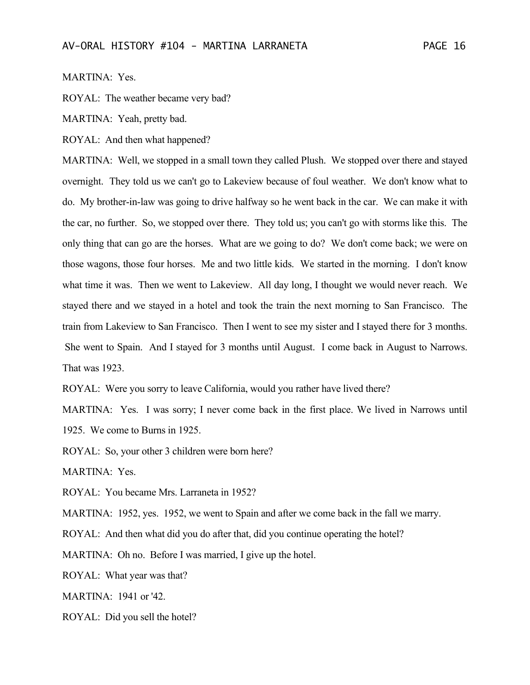### MARTINA: Yes.

ROYAL: The weather became very bad?

MARTINA: Yeah, pretty bad.

ROYAL: And then what happened?

MARTINA: Well, we stopped in a small town they called Plush. We stopped over there and stayed overnight. They told us we can't go to Lakeview because of foul weather. We don't know what to do. My brother-in-law was going to drive halfway so he went back in the car. We can make it with the car, no further. So, we stopped over there. They told us; you can't go with storms like this. The only thing that can go are the horses. What are we going to do? We don't come back; we were on those wagons, those four horses. Me and two little kids. We started in the morning. I don't know what time it was. Then we went to Lakeview. All day long, I thought we would never reach. We stayed there and we stayed in a hotel and took the train the next morning to San Francisco. The train from Lakeview to San Francisco. Then I went to see my sister and I stayed there for 3 months. She went to Spain. And I stayed for 3 months until August. I come back in August to Narrows. That was 1923.

ROYAL: Were you sorry to leave California, would you rather have lived there?

MARTINA: Yes. I was sorry; I never come back in the first place. We lived in Narrows until 1925. We come to Burns in 1925.

ROYAL: So, your other 3 children were born here?

MARTINA: Yes.

ROYAL: You became Mrs. Larraneta in 1952?

MARTINA: 1952, yes. 1952, we went to Spain and after we come back in the fall we marry.

ROYAL: And then what did you do after that, did you continue operating the hotel?

MARTINA: Oh no. Before I was married, I give up the hotel.

ROYAL: What year was that?

MARTINA: 1941 or '42.

ROYAL: Did you sell the hotel?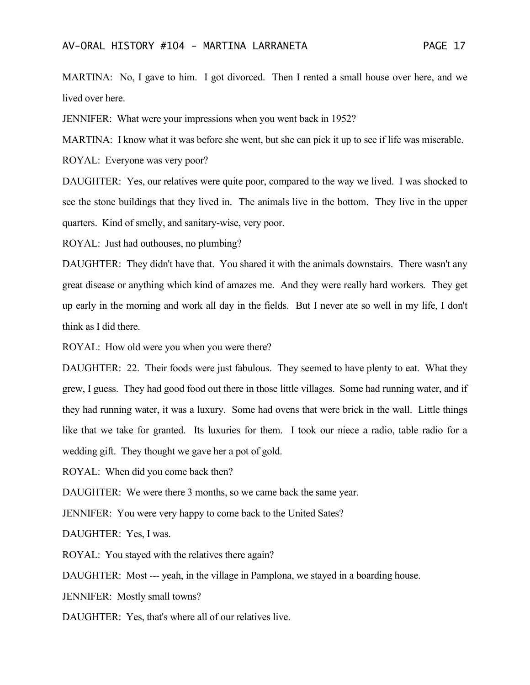MARTINA: No, I gave to him. I got divorced. Then I rented a small house over here, and we lived over here.

JENNIFER: What were your impressions when you went back in 1952?

MARTINA: I know what it was before she went, but she can pick it up to see if life was miserable.

ROYAL: Everyone was very poor?

DAUGHTER: Yes, our relatives were quite poor, compared to the way we lived. I was shocked to see the stone buildings that they lived in. The animals live in the bottom. They live in the upper quarters. Kind of smelly, and sanitary-wise, very poor.

ROYAL: Just had outhouses, no plumbing?

DAUGHTER: They didn't have that. You shared it with the animals downstairs. There wasn't any great disease or anything which kind of amazes me. And they were really hard workers. They get up early in the morning and work all day in the fields. But I never ate so well in my life, I don't think as I did there.

ROYAL: How old were you when you were there?

DAUGHTER: 22. Their foods were just fabulous. They seemed to have plenty to eat. What they grew, I guess. They had good food out there in those little villages. Some had running water, and if they had running water, it was a luxury. Some had ovens that were brick in the wall. Little things like that we take for granted. Its luxuries for them. I took our niece a radio, table radio for a wedding gift. They thought we gave her a pot of gold.

ROYAL: When did you come back then?

DAUGHTER: We were there 3 months, so we came back the same year.

JENNIFER: You were very happy to come back to the United Sates?

DAUGHTER: Yes, I was.

ROYAL: You stayed with the relatives there again?

DAUGHTER: Most --- yeah, in the village in Pamplona, we stayed in a boarding house.

JENNIFER: Mostly small towns?

DAUGHTER: Yes, that's where all of our relatives live.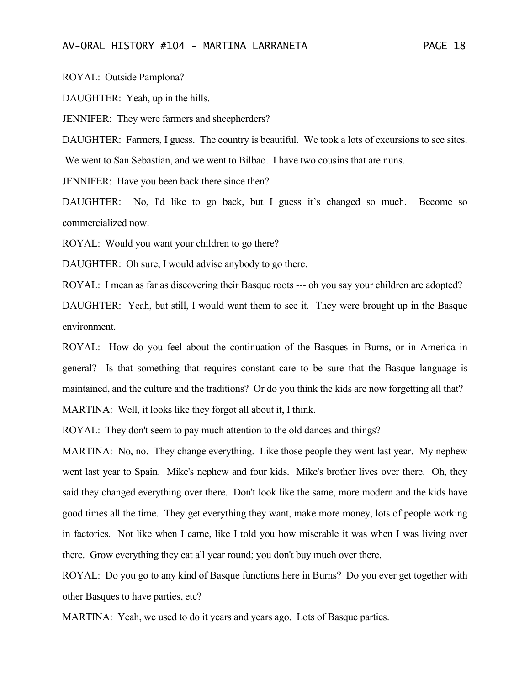ROYAL: Outside Pamplona?

DAUGHTER: Yeah, up in the hills.

JENNIFER: They were farmers and sheepherders?

DAUGHTER: Farmers, I guess. The country is beautiful. We took a lots of excursions to see sites. We went to San Sebastian, and we went to Bilbao. I have two cousins that are nuns.

JENNIFER: Have you been back there since then?

DAUGHTER: No, I'd like to go back, but I guess it's changed so much. Become so commercialized now.

ROYAL: Would you want your children to go there?

DAUGHTER: Oh sure, I would advise anybody to go there.

ROYAL: I mean as far as discovering their Basque roots --- oh you say your children are adopted?

DAUGHTER: Yeah, but still, I would want them to see it. They were brought up in the Basque environment.

ROYAL: How do you feel about the continuation of the Basques in Burns, or in America in general? Is that something that requires constant care to be sure that the Basque language is maintained, and the culture and the traditions? Or do you think the kids are now forgetting all that? MARTINA: Well, it looks like they forgot all about it, I think.

ROYAL: They don't seem to pay much attention to the old dances and things?

MARTINA: No, no. They change everything. Like those people they went last year. My nephew went last year to Spain. Mike's nephew and four kids. Mike's brother lives over there. Oh, they said they changed everything over there. Don't look like the same, more modern and the kids have good times all the time. They get everything they want, make more money, lots of people working in factories. Not like when I came, like I told you how miserable it was when I was living over there. Grow everything they eat all year round; you don't buy much over there.

ROYAL: Do you go to any kind of Basque functions here in Burns? Do you ever get together with other Basques to have parties, etc?

MARTINA: Yeah, we used to do it years and years ago. Lots of Basque parties.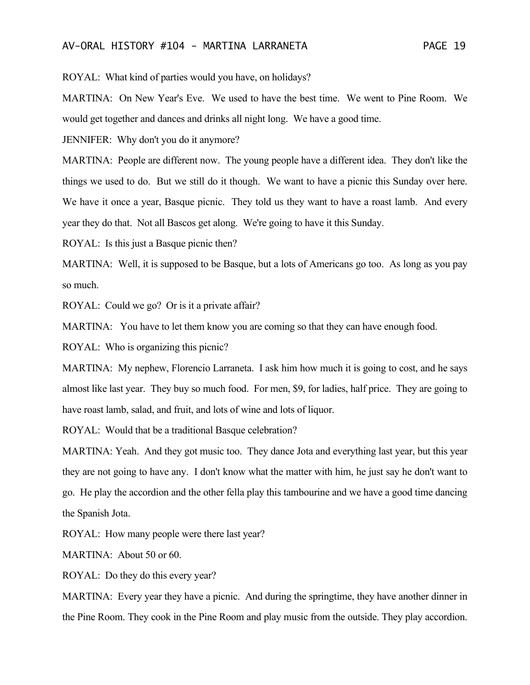ROYAL: What kind of parties would you have, on holidays?

MARTINA: On New Year's Eve. We used to have the best time. We went to Pine Room. We would get together and dances and drinks all night long. We have a good time.

JENNIFER: Why don't you do it anymore?

MARTINA: People are different now. The young people have a different idea. They don't like the things we used to do. But we still do it though. We want to have a picnic this Sunday over here. We have it once a year, Basque picnic. They told us they want to have a roast lamb. And every year they do that. Not all Bascos get along. We're going to have it this Sunday.

ROYAL: Is this just a Basque picnic then?

MARTINA: Well, it is supposed to be Basque, but a lots of Americans go too. As long as you pay so much.

ROYAL: Could we go? Or is it a private affair?

MARTINA: You have to let them know you are coming so that they can have enough food.

ROYAL: Who is organizing this picnic?

MARTINA: My nephew, Florencio Larraneta. I ask him how much it is going to cost, and he says almost like last year. They buy so much food. For men, \$9, for ladies, half price. They are going to have roast lamb, salad, and fruit, and lots of wine and lots of liquor.

ROYAL: Would that be a traditional Basque celebration?

MARTINA: Yeah. And they got music too. They dance Jota and everything last year, but this year they are not going to have any. I don't know what the matter with him, he just say he don't want to go. He play the accordion and the other fella play this tambourine and we have a good time dancing the Spanish Jota.

ROYAL: How many people were there last year?

MARTINA: About 50 or 60.

ROYAL: Do they do this every year?

MARTINA: Every year they have a picnic. And during the springtime, they have another dinner in the Pine Room. They cook in the Pine Room and play music from the outside. They play accordion.